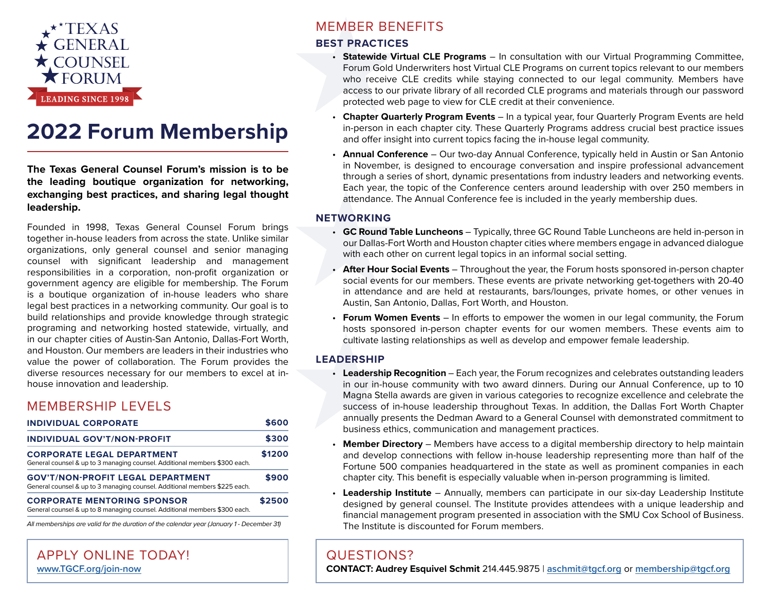

# **2022 Forum Membership**

**The Texas General Counsel Forum's mission is to be the leading boutique organization for networking, exchanging best practices, and sharing legal thought leadership.** 

Founded in 1998, Texas General Counsel Forum brings together in-house leaders from across the state. Unlike similar organizations, only general counsel and senior managing counsel with significant leadership and management responsibilities in a corporation, non-profit organization or government agency are eligible for membership. The Forum is a boutique organization of in-house leaders who share legal best practices in a networking community. Our goal is to build relationships and provide knowledge through strategic programing and networking hosted statewide, virtually, and in our chapter cities of Austin-San Antonio, Dallas-Fort Worth, and Houston. Our members are leaders in their industries who value the power of collaboration. The Forum provides the diverse resources necessary for our members to excel at inhouse innovation and leadership.

## MEMBERSHIP LEVELS

| <b>INDIVIDUAL CORPORATE</b><br><b>INDIVIDUAL GOV'T/NON-PROFIT</b>                                                      | \$600<br>\$300 |
|------------------------------------------------------------------------------------------------------------------------|----------------|
|                                                                                                                        |                |
| <b>GOV'T/NON-PROFIT LEGAL DEPARTMENT</b><br>General counsel & up to 3 managing counsel. Additional members \$225 each. | \$900          |
| <b>CORPORATE MENTORING SPONSOR</b><br>General counsel & up to 8 managing counsel. Additional members \$300 each.       | \$2500         |
| All memberships are valid for the duration of the calendar year (January 1 - December 31)                              |                |

## APPLY ONLINE TODAY! **[www.TGCF.org/join-now](http://www.TGCF.org/join-now)**

## MEMBER BENEFITS

## **BEST PRACTICES**

- **Statewide Virtual CLE Programs** In consultation with our Virtual Programming Committee, Forum Gold Underwriters host Virtual CLE Programs on current topics relevant to our members who receive CLE credits while staying connected to our legal community. Members have access to our private library of all recorded CLE programs and materials through our password protected web page to view for CLE credit at their convenience.
- **Chapter Quarterly Program Events** In a typical year, four Quarterly Program Events are held in-person in each chapter city. These Quarterly Programs address crucial best practice issues and offer insight into current topics facing the in-house legal community.
- **Annual Conference** Our two-day Annual Conference, typically held in Austin or San Antonio in November, is designed to encourage conversation and inspire professional advancement through a series of short, dynamic presentations from industry leaders and networking events. Each year, the topic of the Conference centers around leadership with over 250 members in attendance. The Annual Conference fee is included in the yearly membership dues.

### **NETWORKING**

- **GC Round Table Luncheons** Typically, three GC Round Table Luncheons are held in-person in our Dallas-Fort Worth and Houston chapter cities where members engage in advanced dialogue with each other on current legal topics in an informal social setting.
- **After Hour Social Events** Throughout the year, the Forum hosts sponsored in-person chapter social events for our members. These events are private networking get-togethers with 20-40 in attendance and are held at restaurants, bars/lounges, private homes, or other venues in Austin, San Antonio, Dallas, Fort Worth, and Houston.
- **Forum Women Events** In efforts to empower the women in our legal community, the Forum hosts sponsored in-person chapter events for our women members. These events aim to cultivate lasting relationships as well as develop and empower female leadership.

### **LEADERSHIP**

- **Leadership Recognition** Each year, the Forum recognizes and celebrates outstanding leaders in our in-house community with two award dinners. During our Annual Conference, up to 10 Magna Stella awards are given in various categories to recognize excellence and celebrate the success of in-house leadership throughout Texas. In addition, the Dallas Fort Worth Chapter annually presents the Dedman Award to a General Counsel with demonstrated commitment to business ethics, communication and management practices.
- **Member Directory** Members have access to a digital membership directory to help maintain and develop connections with fellow in-house leadership representing more than half of the Fortune 500 companies headquartered in the state as well as prominent companies in each chapter city. This benefit is especially valuable when in-person programming is limited.
- **Leadership Institute** Annually, members can participate in our six-day Leadership Institute designed by general counsel. The Institute provides attendees with a unique leadership and financial management program presented in association with the SMU Cox School of Business. The Institute is discounted for Forum members.

## QUESTIONS?

**CONTACT: Audrey Esquivel Schmit** 214.445.9875 | **[aschmit@tgcf.org](mailto:aschmit%40tgcf.org?subject=2021%20Membership%20Question)** or **[membership@tgcf.org](mailto:membership%40tgcf.org?subject=2021%20Membership%20Question)**